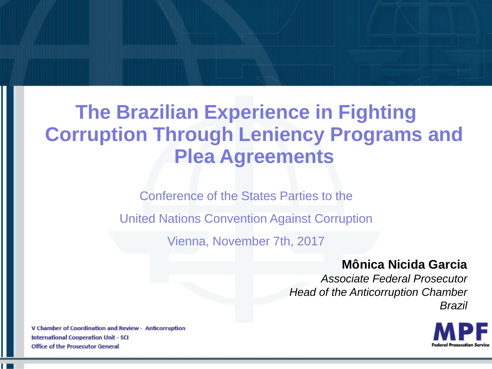Conference of the States Parties to the

United Nations Convention Against Corruption

Vienna, November 7th, 2017

#### **Mônica Nicida Garcia**

*Associate Federal Prosecutor Head of the Anticorruption Chamber Brazil*

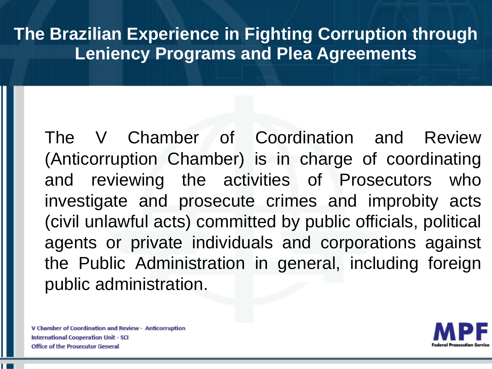The V Chamber of Coordination and Review (Anticorruption Chamber) is in charge of coordinating and reviewing the activities of Prosecutors who investigate and prosecute crimes and improbity acts (civil unlawful acts) committed by public officials, political agents or private individuals and corporations against the Public Administration in general, including foreign public administration.

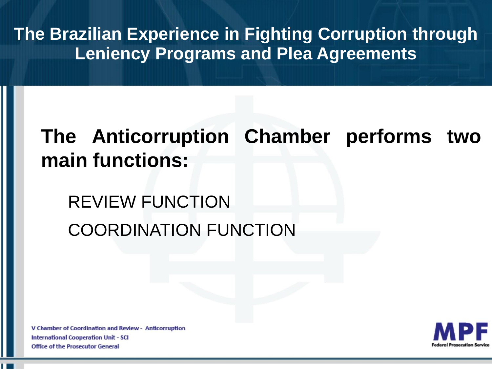# **The Anticorruption Chamber performs two main functions:**

# REVIEW FUNCTION COORDINATION FUNCTION

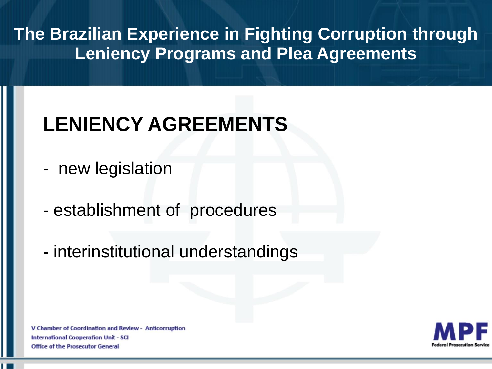# **LENIENCY AGREEMENTS**

- new legislation
- establishment of procedures
- interinstitutional understandings

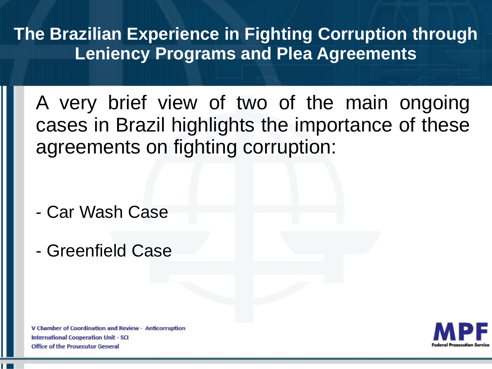A very brief view of two of the main ongoing cases in Brazil highlights the importance of these agreements on fighting corruption:

- Car Wash Case
- Greenfield Case

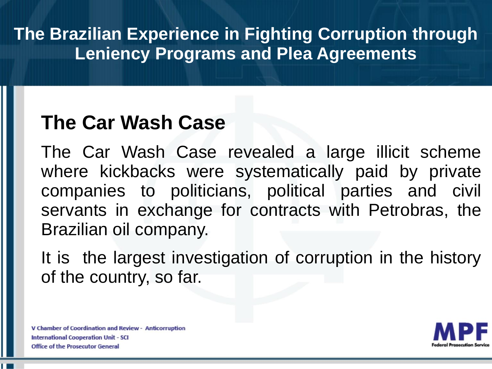## **The Car Wash Case**

The Car Wash Case revealed a large illicit scheme where kickbacks were systematically paid by private companies to politicians, political parties and civil servants in exchange for contracts with Petrobras, the Brazilian oil company.

It is the largest investigation of corruption in the history of the country, so far.

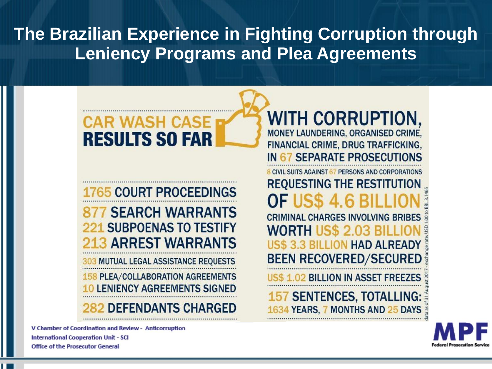### WASH CASE **RESULTS SO FAR**

#### 65 COURT PROCEEDINGS **7 SEARCH WARRANTS 221 SUBPOENAS TO TESTIFY 3 ARREST WARRANTS**

**3 MUTUAL LEGAL ASSISTANCE REQUESTS 158 PLEA/COLLABORATION AGREEMENTS LENIENCY AGREEMENTS SIGNED DEFENDANTS CHARGED** 

V Chamber of Coordination and Review - Anticorruption **International Cooperation Unit - SCI Office of the Prosecutor General** 

**WITH CORRUPTION,** MONEY LAUNDERING, ORGANISED CRIME, FINANCIAL CRIME, DRUG TRAFFICKING, IN 67 SEPARATE PROSECUTIONS **8 CIVIL SUITS AGAINST 67 PERSONS AND CORPORATIONS REQUESTING THE RESTITUTION CRIMINAL CHARGES INVOLVING BRIBES WORTH IISS 203 3.3 BILLION HAD ALREADY BEEN RECOVERED/SECURED** 02 BILLION IN ASSET FREEZES

**157 SENTENCES, TOTALLING: 34 YEARS, 7 MONTHS AND 25 DAYS** 

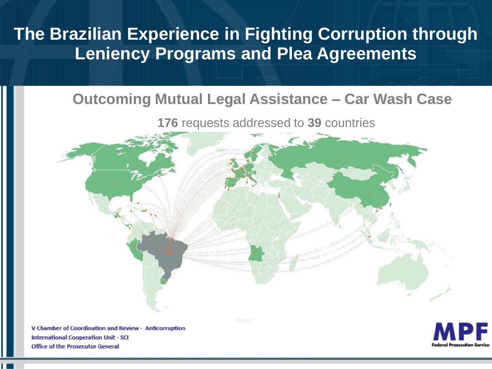#### **Outcoming Mutual Legal Assistance – Car Wash Case**

**176** requests addressed to **39** countries



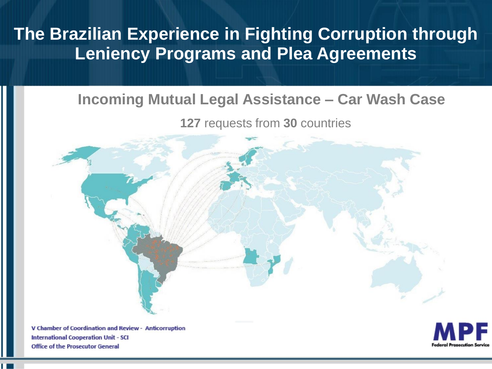#### **Incoming Mutual Legal Assistance – Car Wash Case**

**127** requests from **30** countries



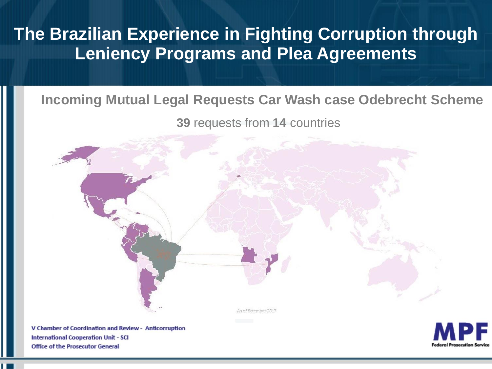#### **Incoming Mutual Legal Requests Car Wash case Odebrecht Scheme**

**39** requests from **14** countries



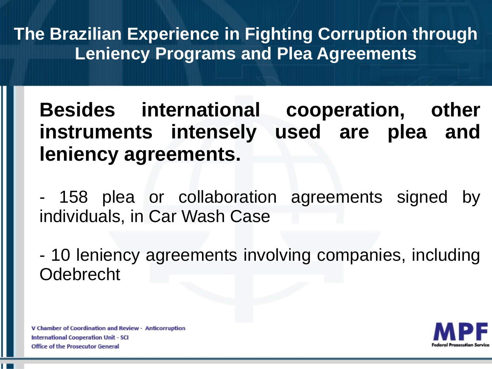**Besides international cooperation, other instruments intensely used are plea and leniency agreements.**

- 158 plea or collaboration agreements signed by individuals, in Car Wash Case

- 10 leniency agreements involving companies, including Odebrecht

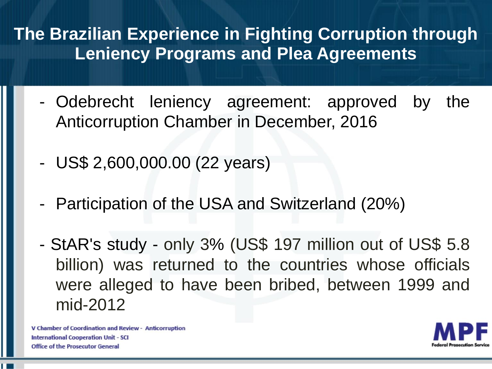- Odebrecht leniency agreement: approved by the Anticorruption Chamber in December, 2016
- US\$ 2,600,000.00 (22 years)
- Participation of the USA and Switzerland (20%)
- StAR's study only 3% (US\$ 197 million out of US\$ 5.8 billion) was returned to the countries whose officials were alleged to have been bribed, between 1999 and mid-2012

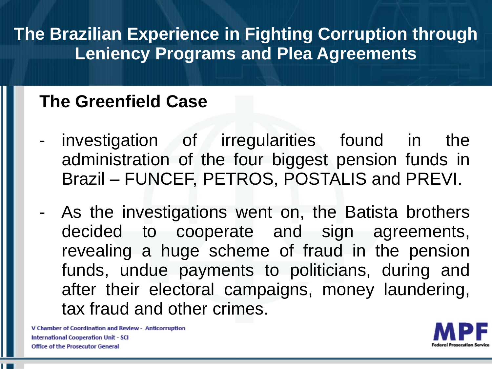### **The Greenfield Case**

- investigation of irregularities found in the administration of the four biggest pension funds in Brazil – FUNCEF, PETROS, POSTALIS and PREVI.
- As the investigations went on, the Batista brothers decided to cooperate and sign agreements, revealing a huge scheme of fraud in the pension funds, undue payments to politicians, during and after their electoral campaigns, money laundering, tax fraud and other crimes.

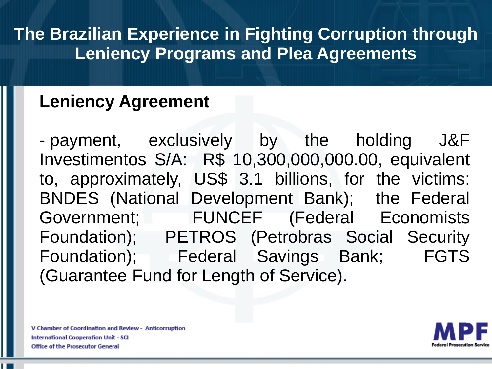### **Leniency Agreement**

- payment, exclusively by the holding J&F Investimentos S/A: R\$ 10,300,000,000.00, equivalent to, approximately, US\$ 3.1 billions, for the victims: BNDES (National Development Bank); the Federal Government; FUNCEF (Federal Economists Foundation); PETROS (Petrobras Social Security Foundation); Federal Savings Bank; FGTS (Guarantee Fund for Length of Service).

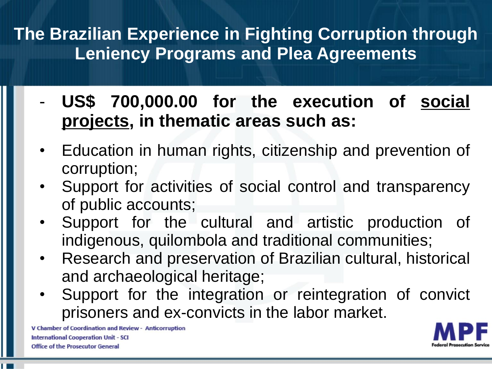- **US\$ 700,000.00 for the execution of social projects, in thematic areas such as:**
- Education in human rights, citizenship and prevention of corruption;
- Support for activities of social control and transparency of public accounts;
- Support for the cultural and artistic production of indigenous, quilombola and traditional communities;
- Research and preservation of Brazilian cultural, historical and archaeological heritage;
- Support for the integration or reintegration of convict prisoners and ex-convicts in the labor market.

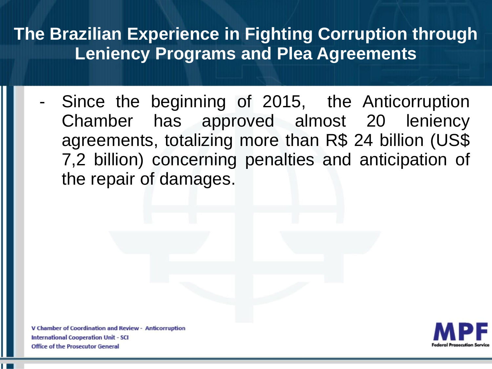Since the beginning of 2015, the Anticorruption Chamber has approved almost 20 leniency agreements, totalizing more than R\$ 24 billion (US\$ 7,2 billion) concerning penalties and anticipation of the repair of damages.

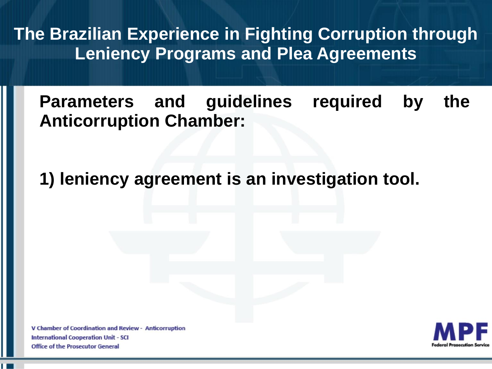**Parameters and guidelines required by the Anticorruption Chamber:**

**1) leniency agreement is an investigation tool.**

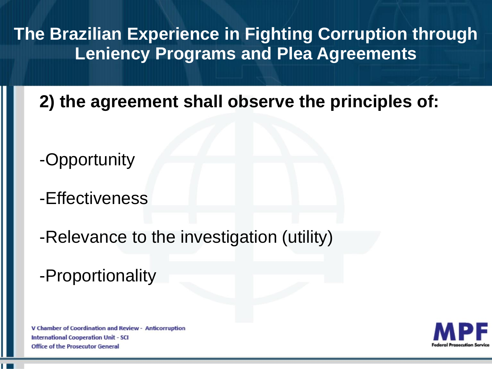**2) the agreement shall observe the principles of:**

- -Opportunity
- -Effectiveness
- -Relevance to the investigation (utility)
- -Proportionality

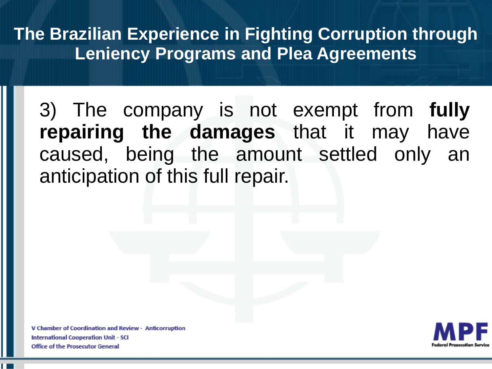3) The company is not exempt from **fully repairing the damages** that it may have caused, being the amount settled only an anticipation of this full repair.

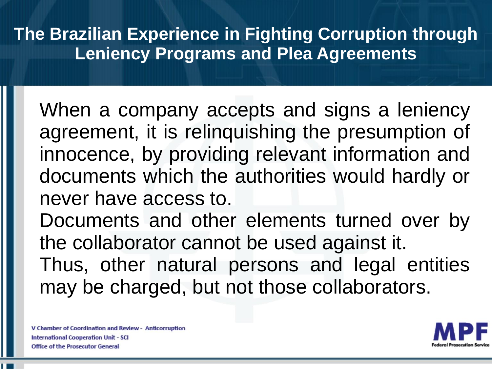When a company accepts and signs a leniency agreement, it is relinquishing the presumption of innocence, by providing relevant information and documents which the authorities would hardly or never have access to.

Documents and other elements turned over by the collaborator cannot be used against it.

Thus, other natural persons and legal entities may be charged, but not those collaborators.

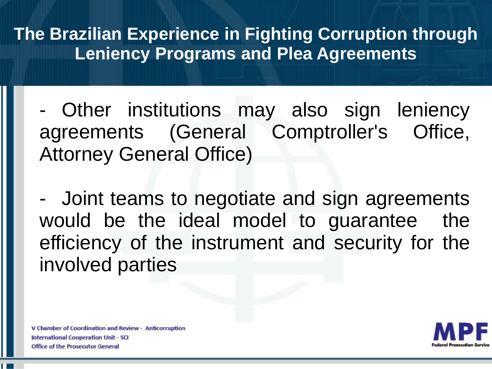- Other institutions may also sign leniency agreements (General Comptroller's Office, Attorney General Office)

- Joint teams to negotiate and sign agreements would be the ideal model to guarantee the efficiency of the instrument and security for the involved parties

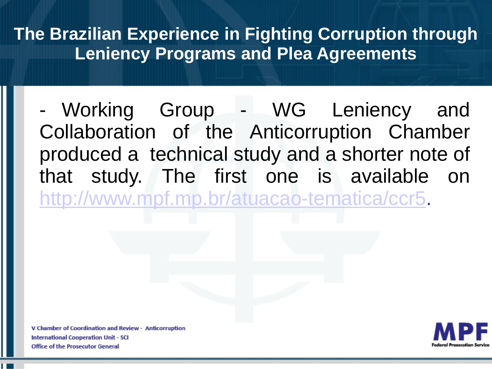- Working Group - WG Leniency and Collaboration of the Anticorruption Chamber produced a technical study and a shorter note of that study. The first one is available on [http://www.mpf.mp.br/atuacao-tematica/ccr5.](http://www.mpf.mp.br/atuacao-tematica/ccr5)

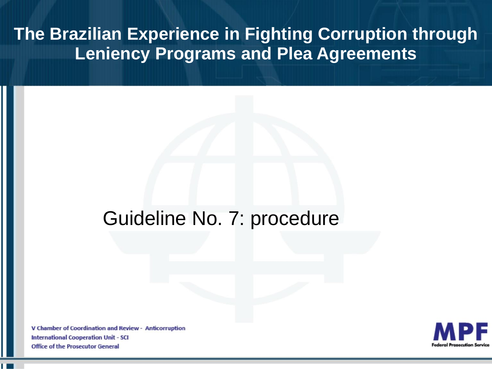### Guideline No. 7: procedure

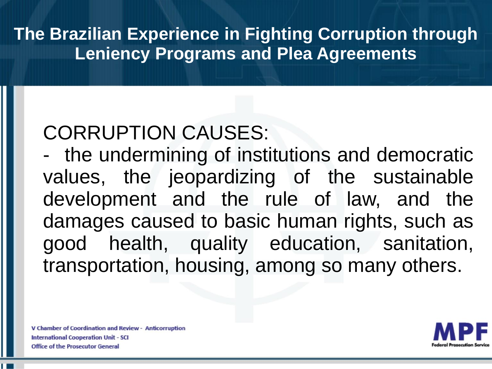# CORRUPTION CAUSES:

- the undermining of institutions and democratic values, the jeopardizing of the sustainable development and the rule of law, and the damages caused to basic human rights, such as good health, quality education, sanitation, transportation, housing, among so many others.

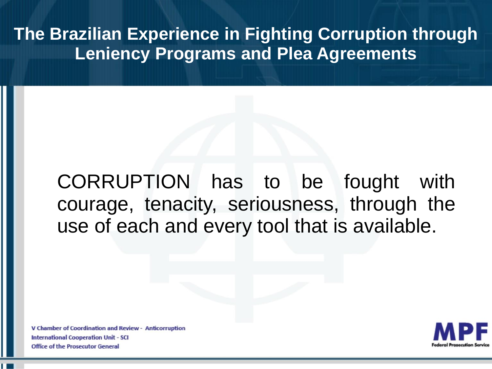## CORRUPTION has to be fought with courage, tenacity, seriousness, through the use of each and every tool that is available.

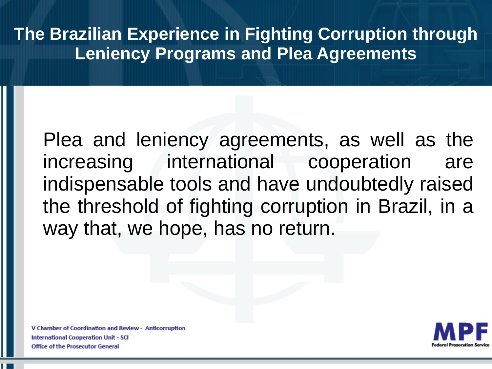Plea and leniency agreements, as well as the increasing international cooperation are indispensable tools and have undoubtedly raised the threshold of fighting corruption in Brazil, in a way that, we hope, has no return.